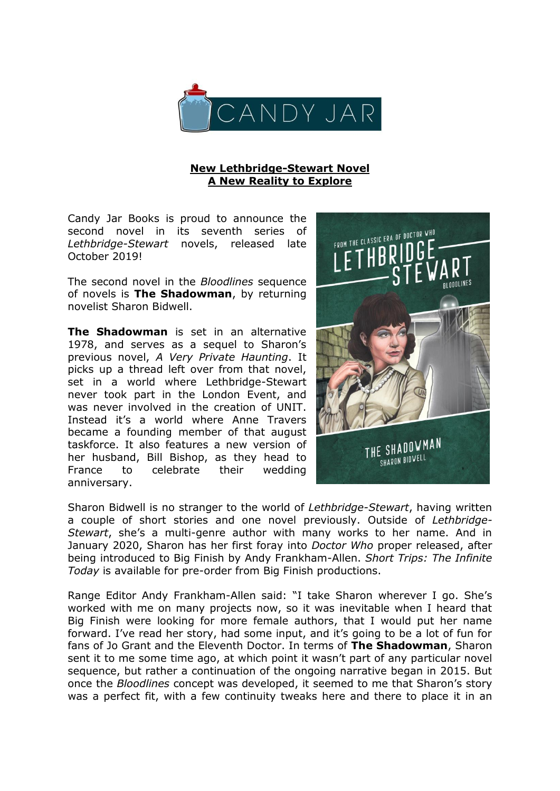

## **New Lethbridge-Stewart Novel A New Reality to Explore**

Candy Jar Books is proud to announce the second novel in its seventh series of *Lethbridge-Stewart* novels, released late October 2019!

The second novel in the *Bloodlines* sequence of novels is **The Shadowman**, by returning novelist Sharon Bidwell.

**The Shadowman** is set in an alternative 1978, and serves as a sequel to Sharon's previous novel, *A Very Private Haunting*. It picks up a thread left over from that novel, set in a world where Lethbridge-Stewart never took part in the London Event, and was never involved in the creation of UNIT. Instead it's a world where Anne Travers became a founding member of that august taskforce. It also features a new version of her husband, Bill Bishop, as they head to France to celebrate their wedding anniversary.



Sharon Bidwell is no stranger to the world of *Lethbridge-Stewart*, having written a couple of short stories and one novel previously. Outside of *Lethbridge-Stewart*, she's a multi-genre author with many works to her name. And in January 2020, Sharon has her first foray into *Doctor Who* proper released, after being introduced to Big Finish by Andy Frankham-Allen. *Short Trips: The Infinite Today* is available for pre-order from Big Finish productions.

Range Editor Andy Frankham-Allen said: "I take Sharon wherever I go. She's worked with me on many projects now, so it was inevitable when I heard that Big Finish were looking for more female authors, that I would put her name forward. I've read her story, had some input, and it's going to be a lot of fun for fans of Jo Grant and the Eleventh Doctor. In terms of **The Shadowman**, Sharon sent it to me some time ago, at which point it wasn't part of any particular novel sequence, but rather a continuation of the ongoing narrative began in 2015. But once the *Bloodlines* concept was developed, it seemed to me that Sharon's story was a perfect fit, with a few continuity tweaks here and there to place it in an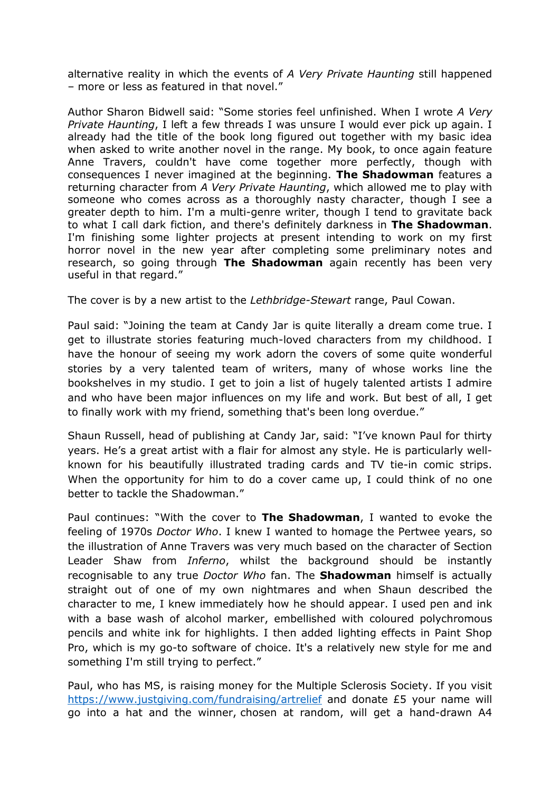alternative reality in which the events of *A Very Private Haunting* still happened – more or less as featured in that novel."

Author Sharon Bidwell said: "Some stories feel unfinished. When I wrote *A Very Private Haunting*, I left a few threads I was unsure I would ever pick up again. I already had the title of the book long figured out together with my basic idea when asked to write another novel in the range. My book, to once again feature Anne Travers, couldn't have come together more perfectly, though with consequences I never imagined at the beginning. **The Shadowman** features a returning character from *A Very Private Haunting*, which allowed me to play with someone who comes across as a thoroughly nasty character, though I see a greater depth to him. I'm a multi-genre writer, though I tend to gravitate back to what I call dark fiction, and there's definitely darkness in **The Shadowman**. I'm finishing some lighter projects at present intending to work on my first horror novel in the new year after completing some preliminary notes and research, so going through **The Shadowman** again recently has been very useful in that regard."

The cover is by a new artist to the *Lethbridge-Stewart* range, Paul Cowan.

Paul said: "Joining the team at Candy Jar is quite literally a dream come true. I get to illustrate stories featuring much-loved characters from my childhood. I have the honour of seeing my work adorn the covers of some quite wonderful stories by a very talented team of writers, many of whose works line the bookshelves in my studio. I get to join a list of hugely talented artists I admire and who have been major influences on my life and work. But best of all, I get to finally work with my friend, something that's been long overdue."

Shaun Russell, head of publishing at Candy Jar, said: "I've known Paul for thirty years. He's a great artist with a flair for almost any style. He is particularly wellknown for his beautifully illustrated trading cards and TV tie-in comic strips. When the opportunity for him to do a cover came up, I could think of no one better to tackle the Shadowman."

Paul continues: "With the cover to **The Shadowman**, I wanted to evoke the feeling of 1970s *Doctor Who*. I knew I wanted to homage the Pertwee years, so the illustration of Anne Travers was very much based on the character of Section Leader Shaw from *Inferno*, whilst the background should be instantly recognisable to any true *Doctor Who* fan. The **Shadowman** himself is actually straight out of one of my own nightmares and when Shaun described the character to me, I knew immediately how he should appear. I used pen and ink with a base wash of alcohol marker, embellished with coloured polychromous pencils and white ink for highlights. I then added lighting effects in Paint Shop Pro, which is my go-to software of choice. It's a relatively new style for me and something I'm still trying to perfect."

Paul, who has MS, is raising money for the Multiple Sclerosis Society. If you visit <https://www.justgiving.com/fundraising/artrelief> and donate £5 your name will go into a hat and the winner, chosen at random, will get a hand-drawn A4